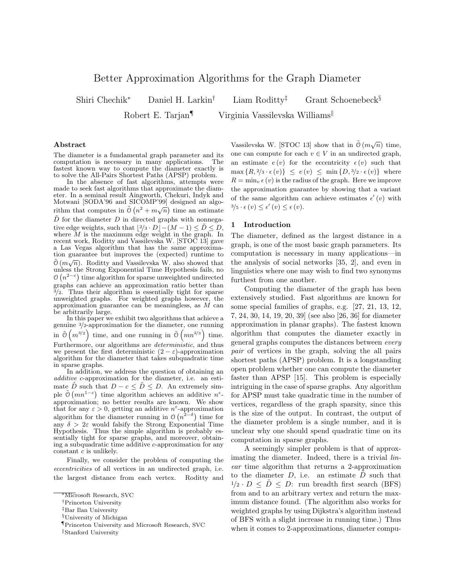# Better Approximation Algorithms for the Graph Diameter

Shiri Chechik<sup>∗</sup> Daniel H. Larkin† Liam Roditty‡ Grant Schoenebeck§ Robert E. Tarjan¶ Virginia Vassilevska Williams<sup>||</sup>

#### Abstract

The diameter is a fundamental graph parameter and its computation is necessary in many applications. The fastest known way to compute the diameter exactly is to solve the All-Pairs Shortest Paths (APSP) problem.

In the absence of fast algorithms, attempts were made to seek fast algorithms that approximate the diameter. In a seminal result Aingworth, Chekuri, Indyk and Motwani [SODA'96 and SICOMP'99] designed an algowholwant point so and stocked solution is also distinct and algorithm that computes in  $\tilde{O}(n^2 + m\sqrt{n})$  time an estimate  $\tilde{D}$  for the diameter D in directed graphs with nonnegative edge weights, such that  $\lfloor 2/3 \cdot D \rfloor - (M - 1) \leq \tilde{D} \leq D$ , where  $\overline{M}$  is the maximum edge weight in the graph. In recent work, Roditty and Vassilevska W. [STOC 13] gave a Las Vegas algorithm that has the same approximation guarantee but improves the (expected) runtime to  $\tilde{O}(m\sqrt{n})$ . Roditty and Vassilevska W. also showed that unless the Strong Exponential Time Hypothesis fails, no  $\mathcal{O}(n^{2-\epsilon})$  time algorithm for sparse unweighted undirected graphs can achieve an approximation ratio better than  $3/2$ . Thus their algorithm is essentially tight for sparse unweighted graphs. For weighted graphs however, the approximation guarantee can be meaningless, as M can be arbitrarily large.

In this paper we exhibit two algorithms that achieve a genuine <sup>3</sup>/2-approximation for the diameter, one running in  $\tilde{O}(m^{3/2})$  time, and one running in  $\tilde{O}(mn^{2/3})$  time. Furthermore, our algorithms are *deterministic*, and thus we present the first deterministic  $(2 - \varepsilon)$ -approximation algorithm for the diameter that takes subquadratic time in sparse graphs.

In addition, we address the question of obtaining an additive c-approximation for the diameter, i.e. an estimate  $\tilde{D}$  such that  $D - c \leq \tilde{D} \leq D$ . An extremely simple  $\tilde{O}(mn^{1-\varepsilon})$  time algorithm achieves an additive  $n^{\varepsilon}$ approximation; no better results are known. We show that for any  $\varepsilon > 0$ , getting an additive  $n^{\varepsilon}$ -approximation algorithm for the diameter running in  $\mathcal{O}(n^{2-\delta})$  time for any  $\delta > 2\varepsilon$  would falsify the Strong Exponential Time Hypothesis. Thus the simple algorithm is probably essentially tight for sparse graphs, and moreover, obtaining a subquadratic time additive c-approximation for any constant c is unlikely.

Finally, we consider the problem of computing the eccentricities of all vertices in an undirected graph, i.e. the largest distance from each vertex. Roditty and

Vassilevska W. [STOC 13] show that in  $\tilde{O}(m\sqrt{n})$  time, one can compute for each  $v \in V$  in an undirected graph, an estimate  $e(v)$  for the eccentricity  $e(v)$  such that  $\max\{R, \frac{2}{3} \cdot \epsilon(v)\} \leq e(v) \leq \min\{D, \frac{3}{2} \cdot \epsilon(v)\}$  where  $R = \min_{v \in V} \epsilon(v)$  is the radius of the graph. Here we improve the approximation guarantee by showing that a variant of the same algorithm can achieve estimates  $\epsilon'(v)$  with  $3/5 \cdot \epsilon(v) \leq \epsilon'(v) \leq \epsilon(v).$ 

## 1 Introduction

The diameter, defined as the largest distance in a graph, is one of the most basic graph parameters. Its computation is necessary in many applications—in the analysis of social networks [35, 2], and even in linguistics where one may wish to find two synonyms furthest from one another.

Computing the diameter of the graph has been extensively studied. Fast algorithms are known for some special families of graphs, e.g. [27, 21, 13, 12, 7, 24, 30, 14, 19, 20, 39] (see also [26, 36] for diameter approximation in planar graphs). The fastest known algorithm that computes the diameter exactly in general graphs computes the distances between every pair of vertices in the graph, solving the all pairs shortest paths (APSP) problem. It is a longstanding open problem whether one can compute the diameter faster than APSP [15]. This problem is especially intriguing in the case of sparse graphs. Any algorithm for APSP must take quadratic time in the number of vertices, regardless of the graph sparsity, since this is the size of the output. In contrast, the output of the diameter problem is a single number, and it is unclear why one should spend quadratic time on its computation in sparse graphs.

A seemingly simpler problem is that of approximating the diameter. Indeed, there is a trivial *lin*ear time algorithm that returns a 2-approximation to the diameter  $D$ , i.e. an estimate  $D$  such that  $1/2 \cdot D \leq \tilde{D} \leq D$ : run breadth first search (BFS) from and to an arbitrary vertex and return the maximum distance found. (The algorithm also works for weighted graphs by using Dijkstra's algorithm instead of BFS with a slight increase in running time.) Thus when it comes to 2-approximations, diameter compu-

<sup>∗</sup>Microsoft Research, SVC

<sup>†</sup>Princeton University

<sup>‡</sup>Bar Ilan University

<sup>§</sup>University of Michigan

<sup>¶</sup>Princeton University and Microsoft Research, SVC

Stanford University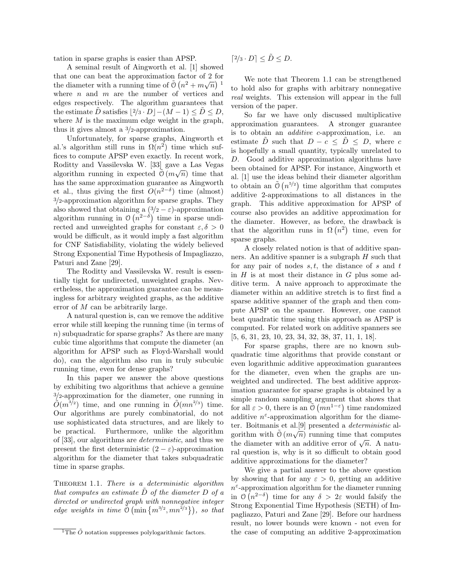tation in sparse graphs is easier than APSP.

A seminal result of Aingworth et al. [1] showed that one can beat the approximation factor of 2 for the diameter with a running time of  $\tilde{O}(n^2 + m\sqrt{n})^{-1}$ where  $n$  and  $m$  are the number of vertices and edges respectively. The algorithm guarantees that the estimate D satisfies  $|2/3 \cdot D|-(M-1) \leq D \leq D$ , where  $M$  is the maximum edge weight in the graph, thus it gives almost a 3/2-approximation.

Unfortunately, for sparse graphs, Aingworth et al.'s algorithm still runs in  $\Omega(n^2)$  time which suffices to compute APSP even exactly. In recent work, Roditty and Vassilevska W. [33] gave a Las Vegas algorithm running in expected  $\tilde{\mathcal{O}}(m\sqrt{n})$  time that has the same approximation guarantee as Aingworth et al., thus giving the first  $O(n^{2-\delta})$  time (almost) 3/2-approximation algorithm for sparse graphs. They also showed that obtaining a  $(3/2 - \varepsilon)$ -approximation algorithm running in  $\mathcal{O}(n^{2-\delta})$  time in sparse undirected and unweighted graphs for constant  $\varepsilon, \delta > 0$ would be difficult, as it would imply a fast algorithm for CNF Satisfiability, violating the widely believed Strong Exponential Time Hypothesis of Impagliazzo, Paturi and Zane [29].

The Roditty and Vassilevska W. result is essentially tight for undirected, unweighted graphs. Nevertheless, the approximation guarantee can be meaningless for arbitrary weighted graphs, as the additive error of M can be arbitrarily large.

A natural question is, can we remove the additive error while still keeping the running time (in terms of n) subquadratic for sparse graphs? As there are many cubic time algorithms that compute the diameter (an algorithm for APSP such as Floyd-Warshall would do), can the algorithm also run in truly subcubic running time, even for dense graphs?

In this paper we answer the above questions by exhibiting two algorithms that achieve a genuine <sup>3</sup>/2-approximation for the diameter, one running in  $\tilde{O}(m^{3/2})$  time, and one running in  $\tilde{O}(mn^{2/3})$  time. Our algorithms are purely combinatorial, do not use sophisticated data structures, and are likely to be practical. Furthermore, unlike the algorithm of [33], our algorithms are deterministic, and thus we present the first deterministic  $(2 - \varepsilon)$ -approximation algorithm for the diameter that takes subquadratic time in sparse graphs.

THEOREM 1.1. There is a deterministic algorithm that computes an estimate  $\tilde{D}$  of the diameter  $D$  of a directed or undirected graph with nonnegative integer edge weights in time  $\tilde{O}(\min\{m^{3/2}, mn^{2/3}\})$ , so that

$$
[2/3 \cdot D] \le \tilde{D} \le D.
$$

We note that Theorem 1.1 can be strengthened to hold also for graphs with arbitrary nonnegative real weights. This extension will appear in the full version of the paper.

So far we have only discussed multiplicative approximation guarantees. A stronger guarantee is to obtain an additive c-approximation, i.e. an estimate D such that  $D - c \le D \le D$ , where c is hopefully a small quantity, typically unrelated to D. Good additive approximation algorithms have been obtained for APSP. For instance, Aingworth et al. [1] use the ideas behind their diameter algorithm to obtain an  $\tilde{O}(n^{5/2})$  time algorithm that computes additive 2-approximations to all distances in the graph. This additive approximation for APSP of course also provides an additive approximation for the diameter. However, as before, the drawback is that the algorithm runs in  $\Omega(n^2)$  time, even for sparse graphs.

A closely related notion is that of additive spanners. An additive spanner is a subgraph  $H$  such that for any pair of nodes  $s, t$ , the distance of s and t in  $H$  is at most their distance in  $G$  plus some additive term. A naive approach to approximate the diameter within an additive stretch is to first find a sparse additive spanner of the graph and then compute APSP on the spanner. However, one cannot beat quadratic time using this approach as APSP is computed. For related work on additive spanners see [5, 6, 31, 23, 10, 23, 34, 32, 38, 37, 11, 1, 18].

For sparse graphs, there are no known subquadratic time algorithms that provide constant or even logarithmic additive approximation guarantees for the diameter, even when the graphs are unweighted and undirected. The best additive approximation guarantee for sparse graphs is obtained by a simple random sampling argument that shows that for all  $\varepsilon > 0$ , there is an  $\tilde{O}(mn^{1-\varepsilon})$  time randomized additive  $n^{\varepsilon}$ -approximation algorithm for the diameter. Boitmanis et al.<sup>[9]</sup> presented a *deterministic* algorithm with  $\tilde{O}(m\sqrt{n})$  running time that computes gorithm with  $\sigma(m\sqrt{n})$  funning time that computes<br>the diameter with an additive error of  $\sqrt{n}$ . A natural question is, why is it so difficult to obtain good additive approximations for the diameter?

We give a partial answer to the above question by showing that for any  $\varepsilon > 0$ , getting an additive  $n^{\varepsilon}$ -approximation algorithm for the diameter running in  $\mathcal{O}(n^{2-\delta})$  time for any  $\delta > 2\varepsilon$  would falsify the Strong Exponential Time Hypothesis (SETH) of Impagliazzo, Paturi and Zane [29]. Before our hardness result, no lower bounds were known - not even for the case of computing an additive 2-approximation

 $\overline{^{1}$ The  $\tilde{O}$  notation suppresses polylogarithmic factors.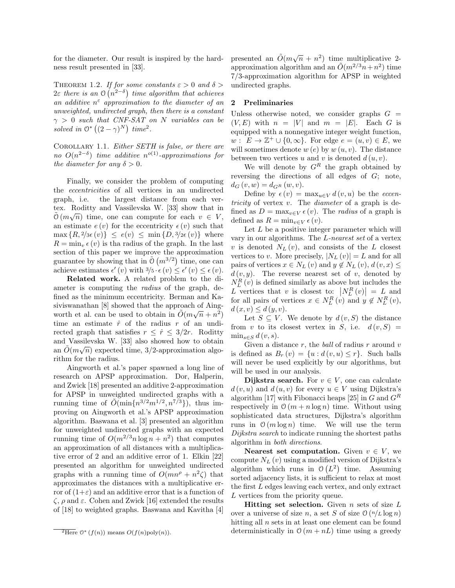for the diameter. Our result is inspired by the hardness result presented in [33].

THEOREM 1.2. If for some constants  $\varepsilon > 0$  and  $\delta > 0$  $2\varepsilon$  there is an  $\mathfrak{O}(n^{2-\delta})$  time algorithm that achieves an additive  $n^{\varepsilon}$  approximation to the diameter of an unweighted, undirected graph, then there is a constant  $\gamma > 0$  such that CNF-SAT on N variables can be solved in  $\mathbb{O}^*\left((2-\gamma)^N\right)$  time<sup>2</sup>.

COROLLARY 1.1. Either SETH is false, or there are no  $O(n^{2-\delta})$  time additive n<sup>o(1)</sup>-approximations for the diameter for any  $\delta > 0$ .

Finally, we consider the problem of computing the eccentricities of all vertices in an undirected graph, i.e. the largest distance from each vertex. Roditty and Vassilevska W. [33] show that in  $\tilde{O}(m\sqrt{n})$  time, one can compute for each  $v \in V$ , an estimate  $e(v)$  for the eccentricity  $\epsilon(v)$  such that  $\max\{R, \frac{2}{3\epsilon}(v)\}\leq e(v)\leq \min\{D, \frac{3}{2\epsilon}(v)\}\$ where  $R = \min_v \epsilon(v)$  is tha radius of the graph. In the last section of this paper we improve the approximation guarantee by showing that in  $\tilde{O}(m^{3/2})$  time, one can achieve estimates  $\epsilon'(v)$  with  $3/5 \cdot \epsilon(v) \leq \epsilon'(v) \leq \epsilon(v)$ .

Related work. A related problem to the diameter is computing the radius of the graph, defined as the minimum eccentricity. Berman and Kasiviswanathan [8] showed that the approach of Aingworth et al. can be used to obtain in  $\tilde{O}(m\sqrt{n}+n^2)$ time an estimate  $\hat{r}$  of the radius r of an undirected graph that satisfies  $r \leq \hat{r} \leq 3/2r$ . Roditty and Vassilevska W. [33] also showed how to obtain an  $\tilde{O}(m\sqrt{n})$  expected time, 3/2-approximation algorithm for the radius.

Aingworth et al.'s paper spawned a long line of research on APSP approximation. Dor, Halperin, and Zwick [18] presented an additive 2-approximation for APSP in unweighted undirected graphs with a running time of  $\tilde{O}(\min\{n^{3/2}m^{1/2},n^{7/3}\})$ , thus improving on Aingworth et al.'s APSP approximation algorithm. Baswana et al. [3] presented an algorithm for unweighted undirected graphs with an expected running time of  $O(m^{2/3}n \log n + n^2)$  that computes an approximation of all distances with a multiplicative error of 2 and an additive error of 1. Elkin [22] presented an algorithm for unweighted undirected graphs with a running time of  $O(mn^{\rho} + n^2 \zeta)$  that approximates the distances with a multiplicative error of  $(1+\varepsilon)$  and an additive error that is a function of  $\zeta$ ,  $\rho$  and  $\varepsilon$ . Cohen and Zwick [16] extended the results of [18] to weighted graphs. Baswana and Kavitha [4]

presented an  $\tilde{O}(m\sqrt{n} + n^2)$  time multiplicative 2approximation algorithm and an  $\tilde{O}(m^{2/3}n+n^2)$  time 7/3-approximation algorithm for APSP in weighted undirected graphs.

## 2 Preliminaries

Unless otherwise noted, we consider graphs  $G =$  $(V, E)$  with  $n = |V|$  and  $m = |E|$ . Each G is equipped with a nonnegative integer weight function,  $w: E \to \mathbb{Z}^+ \cup \{0,\infty\}$ . For edge  $e = (u, v) \in E$ , we will sometimes denote  $w(e)$  by  $w(u, v)$ . The distance between two vertices u and v is denoted  $d(u, v)$ .

We will denote by  $G<sup>R</sup>$  the graph obtained by reversing the directions of all edges of G; note,  $d_G(v, w) = d_{G^R}(w, v).$ 

Define by  $\epsilon(v) = \max_{u \in V} d(v, u)$  be the *eccen*tricity of vertex  $v$ . The *diameter* of a graph is defined as  $D = \max_{v \in V} \epsilon(v)$ . The *radius* of a graph is defined as  $R = \min_{v \in V} \epsilon(v)$ .

Let  $L$  be a positive integer parameter which will vary in our algorithms. The L-nearest set of a vertex v is denoted  $N_L(v)$ , and consists of the L closest vertices to v. More precisely,  $|N_L(v)| = L$  and for all pairs of vertices  $x \in N_L(v)$  and  $y \notin N_L(v)$ ,  $d(v, x) \leq$  $d(v, y)$ . The reverse nearest set of v, denoted by  $N_L^R(v)$  is defined similarly as above but includes the L vertices that v is closest to:  $|N_L^R(v)| = L$  and for all pairs of vertices  $x \in N_L^R(v)$  and  $y \notin N_L^R(v)$ ,  $d(x, v) \leq d(y, v).$ 

Let  $S \subseteq V$ . We denote by  $d(v, S)$  the distance from v to its closest vertex in S, i.e.  $d(v, S) =$  $\min_{s \in S} d(v, s)$ .

Given a distance  $r$ , the *ball* of radius  $r$  around  $v$ is defined as  $B_r(v) = \{u : d(v, u) \le r\}$ . Such balls will never be used explicitly by our algorithms, but will be used in our analysis.

**Dijkstra search.** For  $v \in V$ , one can calculate  $d(v, u)$  and  $d(u, v)$  for every  $u \in V$  using Dijkstra's algorithm [17] with Fibonacci heaps [25] in G and  $G<sup>R</sup>$ respectively in  $O(m + n \log n)$  time. Without using sophisticated data structures, Dijkstra's algorithm runs in  $\mathcal{O}(m \log n)$  time. We will use the term Dijkstra search to indicate running the shortest paths algorithm in both directions.

Nearest set computation. Given  $v \in V$ , we compute  $N_L(v)$  using a modified version of Dijkstra's algorithm which runs in  $\mathcal{O}(L^2)$  time. Assuming sorted adjacency lists, it is sufficient to relax at most the first L edges leaving each vertex, and only extract L vertices from the priority queue.

**Hitting set selection.** Given  $n$  sets of size  $L$ over a universe of size n, a set S of size  $\mathcal{O}(n/L \log n)$ hitting all  $n$  sets in at least one element can be found deterministically in  $O(m + nL)$  time using a greedy

 $\overline{P_{\text{Here}}}\,\mathcal{O}^*(f(n))$  means  $O(f(n)\text{poly}(n)).$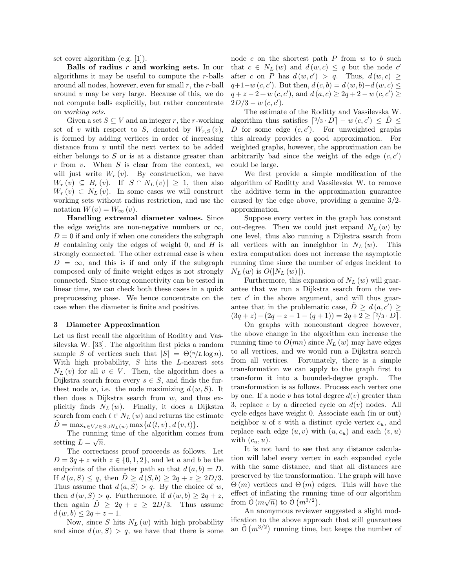set cover algorithm (e.g. [1]).

Balls of radius  $r$  and working sets. In our algorithms it may be useful to compute the r-balls around all nodes, however, even for small  $r$ , the  $r$ -ball around  $v$  may be very large. Because of this, we do not compute balls explicitly, but rather concentrate on working sets.

Given a set  $S \subseteq V$  and an integer r, the r-working set of v with respect to S, denoted by  $W_{r,S}(v)$ , is formed by adding vertices in order of increasing distance from v until the next vertex to be added either belongs to  $S$  or is at a distance greater than  $r$  from  $v$ . When  $S$  is clear from the context, we will just write  $W_r(v)$ . By construction, we have  $W_r(v) \subseteq B_r(v)$ . If  $|S \cap N_L(v)| \geq 1$ , then also  $W_r(v) \subset N_L(v)$ . In some cases we will construct working sets without radius restriction, and use the notation  $W(v) = W_{\infty}(v)$ .

Handling extremal diameter values. Since the edge weights are non-negative numbers or  $\infty$ ,  $D = 0$  if and only if when one considers the subgraph H containing only the edges of weight 0, and  $H$  is strongly connected. The other extremal case is when  $D = \infty$ , and this is if and only if the subgraph composed only of finite weight edges is not strongly connected. Since strong connectivity can be tested in linear time, we can check both these cases in a quick preprocessing phase. We hence concentrate on the case when the diameter is finite and positive.

#### 3 Diameter Approximation

Let us first recall the algorithm of Roditty and Vassilevska W. [33]. The algorithm first picks a random sample S of vertices such that  $|S| = \Theta(n/L \log n)$ . With high probability,  $S$  hits the  $L$ -nearest sets  $N_L(v)$  for all  $v \in V$ . Then, the algorithm does a Dijkstra search from every  $s \in S$ , and finds the furthest node w, i.e. the node maximizing  $d(w, S)$ . It then does a Dijkstra search from  $w$ , and thus explicitly finds  $N_L(w)$ . Finally, it does a Dijkstra search from each  $t \in N_L(w)$  and returns the estimate  $D = \max_{v \in V, t \in S \cup N_L(w)} \max\{d(t, v), d(v, t)\}.$ 

The running time of the algorithm comes from setting  $L = \sqrt{n}$ .

The correctness proof proceeds as follows. Let  $D = 3q + z$  with  $z \in \{0, 1, 2\}$ , and let a and b be the endpoints of the diameter path so that  $d(a, b) = D$ . If  $d(a, S) \leq q$ , then  $D \geq d(S, b) \geq 2q + z \geq 2D/3$ . Thus assume that  $d(a, S) > q$ . By the choice of w, then  $d(w, S) > q$ . Furthermore, if  $d(w, b) \geq 2q + z$ , then again  $\ddot{D} \geq 2q + z \geq 2D/3$ . Thus assume  $d(w, b) \leq 2q + z - 1.$ 

Now, since S hits  $N_L(w)$  with high probability and since  $d(w, S) > q$ , we have that there is some node c on the shortest path  $P$  from  $w$  to  $b$  such that  $c \in N_L(w)$  and  $d(w, c) \leq q$  but the node  $c'$ after c on P has  $d(w, c') > q$ . Thus,  $d(w, c) \geq$  $q+1-w(c, c')$ . But then,  $d(c, b) = d(w, b)-d(w, c) \leq$  $q + z - 2 + w(c, c')$ , and  $d(a, c) \geq 2q + 2 - w(c, c') \geq 0$  $2D/3 - w(c, c').$ 

The estimate of the Roditty and Vassilevska W. algorithm thus satisfies  $\left[2/3 \cdot D\right] - w(c, c') \leq \tilde{D} \leq$ D for some edge  $(c, c')$ . For unweighted graphs this already provides a good approximation. For weighted graphs, however, the approximation can be arbitrarily bad since the weight of the edge  $(c, c')$ could be large.

We first provide a simple modification of the algorithm of Roditty and Vassilevska W. to remove the additive term in the approximation guarantee caused by the edge above, providing a genuine  $3/2$ approximation.

Suppose every vertex in the graph has constant out-degree. Then we could just expand  $N_L(w)$  by one level, thus also running a Dijkstra search from all vertices with an inneighbor in  $N_L(w)$ . This extra computation does not increase the asymptotic running time since the number of edges incident to  $N_L(w)$  is  $O(|N_L(w)|)$ .

Furthermore, this expansion of  $N_L(w)$  will guarantee that we run a Dijkstra search from the vertex  $c'$  in the above argument, and will thus guarantee that in the problematic case,  $\tilde{D} \geq d(a, c') \geq$  $(3q + z) - (2q + z - 1 - (q + 1)) = 2q + 2 \geq \lceil 2/3 \cdot D \rceil.$ 

On graphs with nonconstant degree however, the above change in the algorithm can increase the running time to  $O(mn)$  since  $N_L(w)$  may have edges to all vertices, and we would run a Dijkstra search from all vertices. Fortunately, there is a simple transformation we can apply to the graph first to transform it into a bounded-degree graph. The transformation is as follows. Process each vertex one by one. If a node v has total degree  $d(v)$  greater than 3, replace v by a directed cycle on  $d(v)$  nodes. All cycle edges have weight 0. Associate each (in or out) neighbor  $u$  of  $v$  with a distinct cycle vertex  $c_u$ , and replace each edge  $(u, v)$  with  $(u, c_u)$  and each  $(v, u)$ with  $(c_u, u)$ .

It is not hard to see that any distance calculation will label every vertex in each expanded cycle with the same distance, and that all distances are preserved by the transformation. The graph will have  $\Theta(m)$  vertices and  $\Theta(m)$  edges. This will have the effect of inflating the running time of our algorithm from  $\tilde{O}(m\sqrt{n})$  to  $\tilde{O}(m^{3/2})$ .

An anonymous reviewer suggested a slight modification to the above approach that still guarantees an  $\tilde{O}(m^{3/2})$  running time, but keeps the number of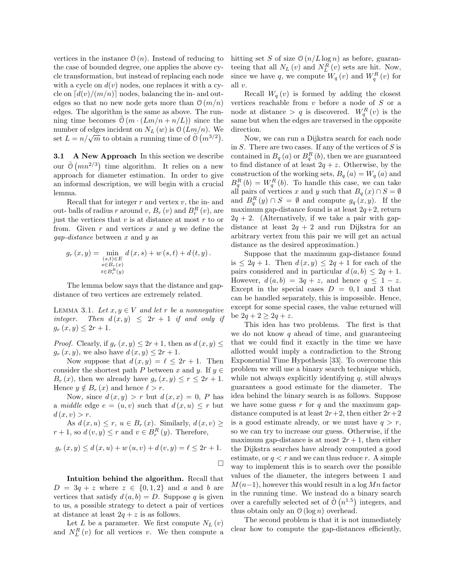vertices in the instance  $\mathcal{O}(n)$ . Instead of reducing to the case of bounded degree, one applies the above cycle transformation, but instead of replacing each node with a cycle on  $d(v)$  nodes, one replaces it with a cycle on  $\lceil d(v)/(m/n) \rceil$  nodes, balancing the in- and outedges so that no new node gets more than  $O(m/n)$ edges. The algorithm is the same as above. The running time becomes  $\mathcal{O}(m \cdot (Lm/n + n/L))$  since the number of edges incident on  $N_L(w)$  is  $\mathfrak{O}(Lm/n)$ . We mumber of edges incluent on  $N_L(w)$  is  $O(Lm/n)$ . We<br>set  $L = n/\sqrt{m}$  to obtain a running time of  $\tilde{O}(m^{3/2})$ .

3.1 A New Approach In this section we describe our  $\tilde{O}(mn^{2/3})$  time algorithm. It relies on a new approach for diameter estimation. In order to give an informal description, we will begin with a crucial lemma.

Recall that for integer  $r$  and vertex  $v$ , the in- and out- balls of radius r around  $v, B_r(v)$  and  $B_r^R(v)$ , are just the vertices that  $v$  is at distance at most  $r$  to or from. Given  $r$  and vertices  $x$  and  $y$  we define the  $gap-distance$  between x and y as

$$
g_r(x,y) = \min_{\substack{(s,t) \in E \\ s \in B_r(x) \\ t \in B_r^R(y)}} d(x,s) + w(s,t) + d(t,y).
$$

The lemma below says that the distance and gapdistance of two vertices are extremely related.

LEMMA 3.1. Let  $x, y \in V$  and let r be a nonnegative integer. Then  $d(x, y) \leq 2r + 1$  if and only if  $g_r(x, y) \leq 2r + 1.$ 

*Proof.* Clearly, if  $g_r(x, y) \leq 2r + 1$ , then as  $d(x, y) \leq$  $q_r(x, y)$ , we also have  $d(x, y) \leq 2r + 1$ .

Now suppose that  $d(x, y) = \ell \leq 2r + 1$ . Then consider the shortest path P between x and y. If  $y \in$  $B_r(x)$ , then we already have  $g_r(x, y) \le r \le 2r + 1$ . Hence  $y \notin B_r(x)$  and hence  $\ell > r$ .

Now, since  $d(x, y) > r$  but  $d(x, x) = 0$ , P has a middle edge  $e = (u, v)$  such that  $d(x, u) \leq r$  but  $d(x, v) > r$ .

As  $d(x, u) \leq r$ ,  $u \in B_r(x)$ . Similarly,  $d(x, v) \geq$  $r+1$ , so  $d(v, y) \leq r$  and  $v \in B_r^R(y)$ . Therefore,

$$
g_r(x, y) \le d(x, u) + w(u, v) + d(v, y) = \ell \le 2r + 1.
$$

Intuition behind the algorithm. Recall that  $D = 3q + z$  where  $z \in \{0, 1, 2\}$  and a and b are vertices that satisfy  $d(a, b) = D$ . Suppose q is given to us, a possible strategy to detect a pair of vertices at distance at least  $2q + z$  is as follows.

Let L be a parameter. We first compute  $N_L(v)$ and  $N_L^R(v)$  for all vertices v. We then compute a hitting set S of size  $O(n/L \log n)$  as before, guaranteeing that all  $N_L(v)$  and  $N_L^R(v)$  sets are hit. Now, since we have q, we compute  $W_q(v)$  and  $W_q^R(v)$  for all v.

Recall  $W_q(v)$  is formed by adding the closest vertices reachable from  $v$  before a node of  $S$  or a node at distance  $> q$  is discovered.  $W_q^R(v)$  is the same but when the edges are traversed in the opposite direction.

Now, we can run a Dijkstra search for each node in  $S$ . There are two cases. If any of the vertices of  $S$  is contained in  $B_q(a)$  or  $B_q^R(b)$ , then we are guaranteed to find distance of at least  $2q + z$ . Otherwise, by the construction of the working sets,  $B_q(a) = W_q(a)$  and  $B_q^R(b) = W_q^R(b)$ . To handle this case, we can take all pairs of vertices x and y such that  $B_q(x) \cap S = \emptyset$ and  $B_q^R(y) \cap S = \emptyset$  and compute  $g_q(x, y)$ . If the maximum gap-distance found is at least  $2q+2$ , return  $2q + 2$ . (Alternatively, if we take a pair with gapdistance at least  $2q + 2$  and run Dijkstra for an arbitrary vertex from this pair we will get an actual distance as the desired approximation.)

Suppose that the maximum gap-distance found is  $\leq 2q + 1$ . Then  $d(x, y) \leq 2q + 1$  for each of the pairs considered and in particular  $d(a, b) \leq 2q + 1$ . However,  $d(a, b) = 3q + z$ , and hence  $q \leq 1 - z$ . Except in the special cases  $D = 0, 1$  and 3 that can be handled separately, this is impossible. Hence, except for some special cases, the value returned will be  $2q + 2 \ge 2q + z$ .

This idea has two problems. The first is that we do not know q ahead of time, and guaranteeing that we could find it exactly in the time we have allotted would imply a contradiction to the Strong Exponential Time Hypothesis [33]. To overcome this problem we will use a binary search technique which, while not always explicitly identifying  $q$ , still always guarantees a good estimate for the diameter. The idea behind the binary search is as follows. Suppose we have some guess  $r$  for  $q$  and the maximum gapdistance computed is at least  $2r+2$ , then either  $2r+2$ is a good estimate already, or we must have  $q > r$ , so we can try to increase our guess. Otherwise, if the maximum gap-distance is at most  $2r + 1$ , then either the Dijkstra searches have already computed a good estimate, or  $q < r$  and we can thus reduce r. A simple way to implement this is to search over the possible values of the diameter, the integers between 1 and  $M(n-1)$ , however this would result in a log Mn factor in the running time. We instead do a binary search over a carefully selected set of  $\tilde{O}(n^{1.5})$  integers, and thus obtain only an  $\mathcal{O}(\log n)$  overhead.

The second problem is that it is not immediately clear how to compute the gap-distances efficiently,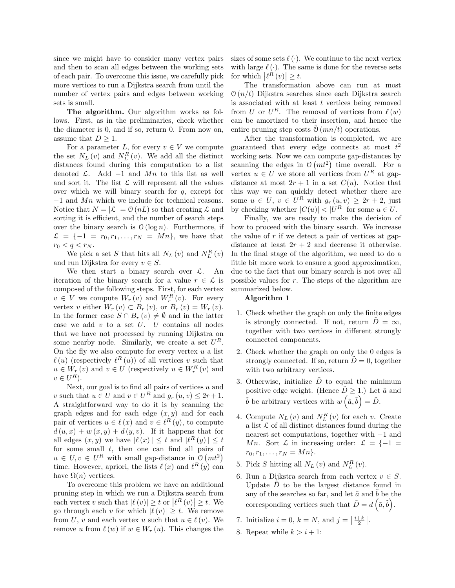since we might have to consider many vertex pairs and then to scan all edges between the working sets of each pair. To overcome this issue, we carefully pick more vertices to run a Dijkstra search from until the number of vertex pairs and edges between working sets is small.

The algorithm. Our algorithm works as follows. First, as in the preliminaries, check whether the diameter is 0, and if so, return 0. From now on, assume that  $D \geq 1$ .

For a parameter L, for every  $v \in V$  we compute the set  $N_L(v)$  and  $N_L^R(v)$ . We add all the distinct distances found during this computation to a list denoted  $\mathcal{L}$ . Add  $-1$  and Mn to this list as well and sort it. The list  $\mathcal L$  will represent all the values over which we will binary search for  $q$ , except for −1 and Mn which we include for technical reasons. Notice that  $N = |\mathcal{L}| = O(nL)$  so that creating  $\mathcal L$  and sorting it is efficient, and the number of search steps over the binary search is  $\mathcal{O}(\log n)$ . Furthermore, if  $\mathcal{L} = \{-1 = r_0, r_1, \ldots, r_N = Mn\}$ , we have that  $r_0 < q < r_N$ .

We pick a set  $S$  that hits all  $N_L(v)$  and  $N_L^R(v)$ and run Dijkstra for every  $v \in S$ .

We then start a binary search over  $\mathcal{L}$ . An iteration of the binary search for a value  $r \in \mathcal{L}$  is composed of the following steps. First, for each vertex  $v \in V$  we compute  $W_r(v)$  and  $W_r^R(v)$ . For every vertex v either  $W_r(v) \subset B_r(v)$ , or  $B_r(v) = W_r(v)$ . In the former case  $S \cap B_r(v) \neq \emptyset$  and in the latter case we add  $v$  to a set  $U$ .  $U$  contains all nodes that we have not processed by running Dijkstra on some nearby node. Similarly, we create a set  $U^R$ . On the fly we also compute for every vertex  $u$  a list  $\ell(u)$  (respectively  $\ell^R(u)$ ) of all vertices v such that  $u \in W_{\underline{r}}(v)$  and  $v \in U$  (respectively  $u \in W_{\underline{r}}^{R}(v)$  and  $v \in U^R$ ).

Next, our goal is to find all pairs of vertices  $u$  and v such that  $u \in U$  and  $v \in U^R$  and  $g_r(u, v) \leq 2r + 1$ . A straightforward way to do it is by scanning the graph edges and for each edge  $(x, y)$  and for each pair of vertices  $u \in \ell(x)$  and  $v \in \ell^{R}(y)$ , to compute  $d(u, x) + w(x, y) + d(y, v)$ . If it happens that for all edges  $(x, y)$  we have  $|\ell(x)| \leq t$  and  $|\ell^R(y)| \leq t$ for some small  $t$ , then one can find all pairs of  $u \in U, v \in U^R$  with small gap-distance in  $\mathcal{O}(mt^2)$ time. However, apriori, the lists  $\ell(x)$  and  $\ell^R(y)$  can have  $\Omega(n)$  vertices.

To overcome this problem we have an additional pruning step in which we run a Dijkstra search from each vertex v such that  $|\ell(v)| \geq t$  or  $|\ell^R(v)| \geq t$ . We go through each v for which  $|\ell (v)| \geq t$ . We remove from U, v and each vertex u such that  $u \in \ell (v)$ . We remove u from  $\ell(w)$  if  $w \in W_r(u)$ . This changes the

sizes of some sets  $\ell$  ( $\cdot$ ). We continue to the next vertex with large  $\ell(\cdot)$ . The same is done for the reverse sets for which  $\left|\ell^R\left(v\right)\right| \geq t$ .

The transformation above can run at most  $\mathcal{O}(n/t)$  Dijkstra searches since each Dijkstra search is associated with at least  $t$  vertices being removed from U or  $U^R$ . The removal of vertices from  $\ell(w)$ can be amortized to their insertion, and hence the entire pruning step costs  $\mathcal{O}(mn/t)$  operations.

After the transformation is completed, we are guaranteed that every edge connects at most  $t^2$ working sets. Now we can compute gap-distances by scanning the edges in  $\mathcal{O}(mt^2)$  time overall. For a vertex  $u \in U$  we store all vertices from  $U^R$  at gapdistance at most  $2r + 1$  in a set  $C(u)$ . Notice that this way we can quickly detect whether there are some  $u \in U$ ,  $v \in U^R$  with  $g_r(u, v) \geq 2r + 2$ , just by checking whether  $|C(u)| < |U^R|$  for some  $u \in U$ .

Finally, we are ready to make the decision of how to proceed with the binary search. We increase the value of  $r$  if we detect a pair of vertices at gapdistance at least  $2r + 2$  and decrease it otherwise. In the final stage of the algorithm, we need to do a little bit more work to ensure a good approximation, due to the fact that our binary search is not over all possible values for r. The steps of the algorithm are summarized below.

# Algorithm 1

- 1. Check whether the graph on only the finite edges is strongly connected. If not, return  $\tilde{D} = \infty$ , together with two vertices in different strongly connected components.
- 2. Check whether the graph on only the 0 edges is strongly connected. If so, return  $\ddot{D}=0$ , together with two arbitrary vertices.
- 3. Otherwise, initialize  $\tilde{D}$  to equal the minimum positive edge weight. (Hence  $\tilde{D} \geq 1$ .) Let  $\tilde{a}$  and  $\tilde{b}$  be arbitrary vertices with  $w\left(\tilde{a}, \tilde{b}\right) = \tilde{D}$ .
- 4. Compute  $N_L(v)$  and  $N_L^R(v)$  for each v. Create a list  $\mathcal L$  of all distinct distances found during the nearest set computations, together with −1 and Mn. Sort  $\mathcal L$  in increasing order:  $\mathcal L = \{-1\}$  $r_0, r_1, \ldots, r_N = Mn$ .
- 5. Pick  $S$  hitting all  $N_L(v)$  and  $N_L^R(v)$ .
- 6. Run a Dijkstra search from each vertex  $v \in S$ . Update  $D$  to be the largest distance found in any of the searches so far, and let  $\tilde{a}$  and  $b$  be the corresponding vertices such that  $\tilde{D} = d\left(\tilde{a}, \tilde{b}\right)$ .
- 7. Initialize  $i = 0, k = N$ , and  $j = \left\lceil \frac{i+k}{2} \right\rceil$ .
- 8. Repeat while  $k > i + 1$ :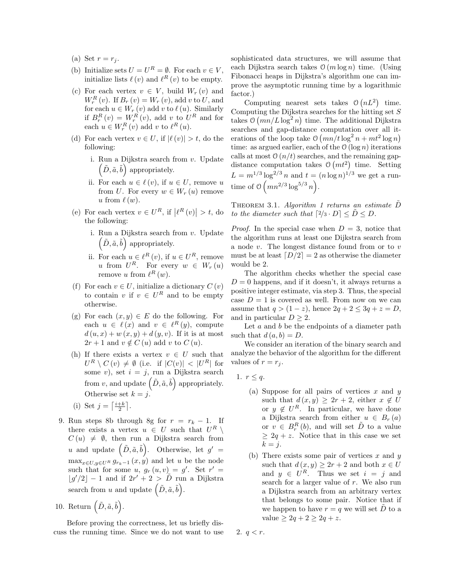- (a) Set  $r = r_i$ .
- (b) Initialize sets  $U = U^R = \emptyset$ . For each  $v \in V$ , initialize lists  $\ell(v)$  and  $\ell^R(v)$  to be empty.
- (c) For each vertex  $v \in V$ , build  $W_r(v)$  and  $W_{r}^{R}(v)$ . If  $B_{r}(v) = W_{r}(v)$ , add v to U, and for each  $u \in W_r(v)$  add v to  $\ell(u)$ . Similarly if  $B_r^R(v) = W_r^R(v)$ , add v to  $U^R$  and for each  $u \in W_r^R(v)$  add v to  $\ell^R(u)$ .
- (d) For each vertex  $v \in U$ , if  $|\ell(v)| > t$ , do the following:
	- i. Run a Dijkstra search from v. Update  $(\tilde{D}, \tilde{a}, \tilde{b})$  appropriately.
	- ii. For each  $u \in \ell(v)$ , if  $u \in U$ , remove u from U. For every  $w \in W_r(u)$  remove u from  $\ell(w)$ .
- (e) For each vertex  $v \in U^R$ , if  $|\ell^R(v)| > t$ , do the following:
	- i. Run a Dijkstra search from v. Update  $(\tilde{D}, \tilde{a}, \tilde{b})$  appropriately.
	- ii. For each  $u \in \ell^R(v)$ , if  $u \in U^R$ , remove u from  $U^R$ . For every  $w \in W_r(u)$ remove u from  $\ell^R(w)$ .
- (f) For each  $v \in U$ , initialize a dictionary  $C(v)$ to contain v if  $v \in U^R$  and to be empty otherwise.
- (g) For each  $(x, y) \in E$  do the following. For each  $u \in \ell(x)$  and  $v \in \ell^{R}(y)$ , compute  $d(u, x) + w(x, y) + d(y, v)$ . If it is at most  $2r + 1$  and  $v \notin C (u)$  add v to  $C (u)$ .
- (h) If there exists a vertex  $v \in U$  such that  $U^R \setminus C(v) \neq \emptyset$  (i.e. if  $|C(v)| < |U^R|$  for some v), set  $i = j$ , run a Dijkstra search from v, and update  $(\tilde{D}, \tilde{a}, \tilde{b})$  appropriately. Otherwise set  $k = j$ .
- (i) Set  $j = \left\lceil \frac{i+k}{2} \right\rceil$ .
- 9. Run steps 8b through 8g for  $r = r_k 1$ . If there exists a vertex  $u \in U$  such that  $U^R \setminus$  $C(u) \neq \emptyset$ , then run a Dijkstra search from u and update  $(\tilde{D}, \tilde{a}, \tilde{b})$ . Otherwise, let  $g' =$  $\max_{x \in U, y \in U^R} g_{r_k-1}(x, y)$  and let u be the node such that for some  $u, g_r(u, v) = g'$ . Set  $r' =$  $\lfloor g'/2 \rfloor - 1$  and if  $2r' + 2 > D$  run a Dijkstra search from u and update  $(\tilde{D}, \tilde{a}, \tilde{b})$ .
- 10. Return  $(\tilde{D}, \tilde{a}, \tilde{b})$ .

Before proving the correctness, let us briefly discuss the running time. Since we do not want to use sophisticated data structures, we will assume that each Dijkstra search takes  $\mathcal{O}(m \log n)$  time. (Using Fibonacci heaps in Dijkstra's algorithm one can improve the asymptotic running time by a logarithmic factor.)

Computing nearest sets takes  $\mathcal{O}(nL^2)$  time. Computing the Dijkstra searches for the hitting set  $S$ takes  $\mathcal{O}(mn/L\log^2 n)$  time. The additional Dijkstra searches and gap-distance computation over all iterations of the loop take  $\mathcal{O}(mn/t \log^2 n + mt^2 \log n)$ time: as argued earlier, each of the  $O(\log n)$  iterations calls at most  $\mathcal{O}(n/t)$  searches, and the remaining gapdistance computation takes  $\mathcal{O}(mt^2)$  time. Setting  $L = m^{1/3} \log^{2/3} n$  and  $t = (n \log n)^{1/3}$  we get a runtime of  $\mathcal{O}(mn^{2/3}\log^{5/3} n)$ .

THEOREM 3.1. Algorithm 1 returns an estimate  $\tilde{D}$ to the diameter such that  $[2/3 \cdot D] < D \leq D$ .

*Proof.* In the special case when  $D = 3$ , notice that the algorithm runs at least one Dijkstra search from a node v. The longest distance found from or to v must be at least  $[D/2] = 2$  as otherwise the diameter would be 2.

The algorithm checks whether the special case  $D = 0$  happens, and if it doesn't, it always returns a positive integer estimate, via step 3. Thus, the special case  $D = 1$  is covered as well. From now on we can assume that  $q > (1-z)$ , hence  $2q + 2 \leq 3q + z = D$ , and in particular  $D \geq 2$ .

Let  $a$  and  $b$  be the endpoints of a diameter path such that  $d(a, b) = D$ .

We consider an iteration of the binary search and analyze the behavior of the algorithm for the different values of  $r = r_i$ .

- 1.  $r \leq q$ .
	- (a) Suppose for all pairs of vertices  $x$  and  $y$ such that  $d(x, y) \geq 2r + 2$ , either  $x \notin U$ or  $y \notin U^R$ . In particular, we have done a Dijkstra search from either  $u \in B_r(a)$ or  $v \in B_r^R(b)$ , and will set  $\tilde{D}$  to a value  $\geq 2q + z$ . Notice that in this case we set  $k = j$ .
	- (b) There exists some pair of vertices  $x$  and  $y$ such that  $d(x, y) \geq 2r + 2$  and both  $x \in U$ and  $y \in U^R$ . Thus we set  $i = j$  and search for a larger value of  $r$ . We also run a Dijkstra search from an arbitrary vertex that belongs to some pair. Notice that if we happen to have  $r = q$  we will set D to a value  $\geq 2q + 2 \geq 2q + z$ .

2.  $q < r$ .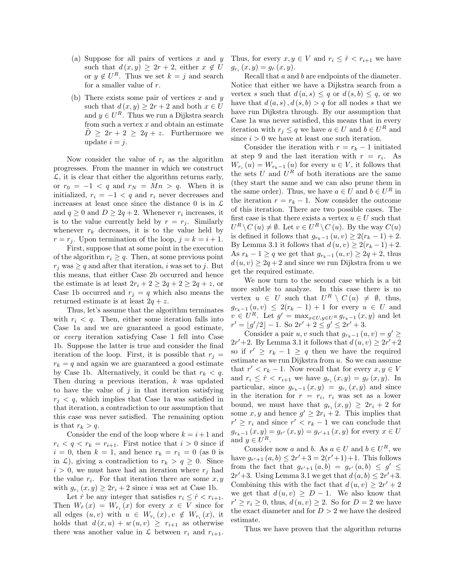- (a) Suppose for all pairs of vertices x and  $y$ such that  $d(x, y) \geq 2r + 2$ , either  $x \notin U$ or  $y \notin U^R$ . Thus we set  $k = j$  and search for a smaller value of r.
- (b) There exists some pair of vertices  $x$  and  $y$ such that  $d(x, y) \geq 2r + 2$  and both  $x \in U$ and  $y \in U^R$ . Thus we run a Dijkstra search from such a vertex  $x$  and obtain an estimate  $D \geq 2r + 2 \geq 2q + z$ . Furthermore we update  $i = j$ .

Now consider the value of  $r_i$  as the algorithm progresses. From the manner in which we construct  $\mathcal{L}$ , it is clear that either the algorithm returns early, or  $r_0 = -1 < q$  and  $r_N = Mn > q$ . When it is initialized,  $r_i = -1 < q$  and  $r_i$  never decreases and increases at least once since the distance 0 is in  $\mathcal L$ and  $q \geq 0$  and  $D \geq 2q + 2$ . Whenever  $r_i$  increases, it is to the value currently held by  $r = r_j$ . Similarly whenever  $r_k$  decreases, it is to the value held by  $r = r_j$ . Upon termination of the loop,  $j = k = i + 1$ .

First, suppose that at some point in the execution of the algorithm  $r_i \geq q$ . Then, at some previous point  $r_i$  was  $\geq q$  and after that iteration, i was set to j. But this means, that either Case 2b occurred and hence the estimate is at least  $2r_i + 2 \geq 2q + 2 \geq 2q + z$ , or Case 1b occurred and  $r_j = q$  which also means the returned estimate is at least  $2q + z$ .

Thus, let's assume that the algorithm terminates with  $r_i < q$ . Then, either some iteration falls into Case 1a and we are guaranteed a good estimate, or every iteration satisfying Case 1 fell into Case 1b. Suppose the latter is true and consider the final iteration of the loop. First, it is possible that  $r_i =$  $r_k = q$  and again we are guaranteed a good estimate by Case 1b. Alternatively, it could be that  $r_k < q$ . Then during a previous iteration, k was updated to have the value of  $j$  in that iteration satisfying  $r_i < q$ , which implies that Case 1a was satisfied in that iteration, a contradiction to our assumption that this case was never satisfied. The remaining option is that  $r_k > q$ .

Consider the end of the loop where  $k = i + 1$  and  $r_i < q < r_k = r_{i+1}$ . First notice that  $i > 0$  since if  $i = 0$ , then  $k = 1$ , and hence  $r_k = r_1 = 0$  (as 0 is in  $\mathcal{L}$ ), giving a contradiction to  $r_k > q \geq 0$ . Since  $i > 0$ , we must have had an iteration where  $r_i$  had the value  $r_i$ . For that iteration there are some  $x, y$ with  $g_{r_i}(x, y) \geq 2r_i + 2$  since i was set at Case 1b.

Let  $\hat{r}$  be any integer that satisfies  $r_i \leq \hat{r} < r_{i+1}$ . Then  $W_{\hat{r}}(x) = W_{r_i}(x)$  for every  $x \in V$  since for all edges  $(u, v)$  with  $u \in W_{r_i}(x)$ ,  $v \notin W_{r_i}(x)$ , it holds that  $d(x, u) + w(u, v) \geq r_{i+1}$  as otherwise there was another value in  $\mathcal L$  between  $r_i$  and  $r_{i+1}$ .

Thus, for every  $x, y \in V$  and  $r_i \leq \hat{r} < r_{i+1}$  we have  $g_{r_i}(x, y) = g_{\hat{r}}(x, y).$ 

Recall that a and b are endpoints of the diameter. Notice that either we have a Dijkstra search from a vertex s such that  $d(a, s) \leq q$  or  $d(s, b) \leq q$ , or we have that  $d(a, s)$ ,  $d(s, b) > q$  for all nodes s that we have run Dijkstra through. By our assumption that Case 1a was never satisfied, this means that in every iteration with  $r_j \leq q$  we have  $a \in U$  and  $b \in U^R$  and since  $i > 0$  we have at least one such iteration.

Consider the iteration with  $r = r_k - 1$  initiated at step 9 and the last iteration with  $r = r_i$ . As  $W_{r_i}(u) = W_{r_k-1}(u)$  for every  $u \in V$ , it follows that the sets U and  $U^R$  of both iterations are the same (they start the same and we can also prune them in the same order). Thus, we have  $a \in U$  and  $b \in U^R$  in the iteration  $r = r_k - 1$ . Now consider the outcome of this iteration. There are two possible cases. The first case is that there exists a vertex  $u \in U$  such that  $U^R \setminus C(u) \neq \emptyset$ . Let  $v \in U^R \setminus C(u)$ . By the way  $C(u)$ is defined it follows that  $g_{r_k-1}(u, v) \geq 2(r_k-1)+2$ . By Lemma 3.1 it follows that  $d(u, v) \geq 2(r_k - 1) + 2$ . As  $r_k - 1 \geq q$  we get that  $g_{r_k-1}(u, v) \geq 2q + 2$ , thus  $d(u, v) \geq 2q + 2$  and since we run Dijkstra from u we get the required estimate.

We now turn to the second case which is a bit more subtle to analyze. In this case there is no vertex  $u \in U$  such that  $U^R \setminus C(u) \neq \emptyset$ , thus,  $g_{r_k-1} (u, v) \leq 2(r_k - 1) + 1$  for every  $u \in U$  and  $v \in U^R$ . Let  $g' = \max_{x \in U, y \in U^R} g_{r_k-1}(x, y)$  and let  $r' = |g'/2| - 1.$  So  $2r' + 2 \le g' \le 2r' + 3.$ 

Consider a pair  $u, v$  such that  $g_{r_k-1}(u, v) = g' \geq$  $2r'+2$ . By Lemma 3.1 it follows that  $d(u, v) \geq 2r'+2$ so if  $r' \geq r_k - 1 \geq q$  then we have the required estimate as we run Dijkstra from  $u$ . So we can assume that  $r' < r_k - 1$ . Now recall that for every  $x, y \in V$ and  $r_i \leq \hat{r} < r_{i+1}$  we have  $g_{r_i}(x, y) = g_{\hat{r}}(x, y)$ . In particular, since  $g_{r_k-1}(x, y) = g_{r_i}(x, y)$  and since in the iteration for  $r = r_i$ ,  $r_i$  was set as a lower bound, we must have that  $g_{r_i}(x, y) \geq 2r_i + 2$  for some  $x, y$  and hence  $g' \geq 2r_i + 2$ . This implies that  $r' \geq r_i$  and since  $r' < r_k - 1$  we can conclude that  $g_{r_{k}-1}(x, y) = g_{r'}(x, y) = g_{r'+1}(x, y)$  for every  $x \in U$ and  $y \in U^R$ .

Consider now a and b. As  $a \in U$  and  $b \in U^R$ , we have  $g_{r'+1}(a, b) \leq 2r' + 3 = 2(r'+1) + 1$ . This follows from the fact that  $g_{r'+1}(a, b) = g_{r'}(a, b) \leq g' \leq$  $2r'+3$ . Using Lemma 3.1 we get that  $d(a, b) \leq 2r'+3$ . Combining this with the fact that  $d(u, v) \geq 2r' + 2$ we get that  $d(u, v) \ge D - 1$ . We also know that  $r' \geq r_i \geq 0$ , thus,  $d(u, v) \geq 2$ . So for  $D = 2$  we have the exact diameter and for  $D > 2$  we have the desired estimate.

Thus we have proven that the algorithm returns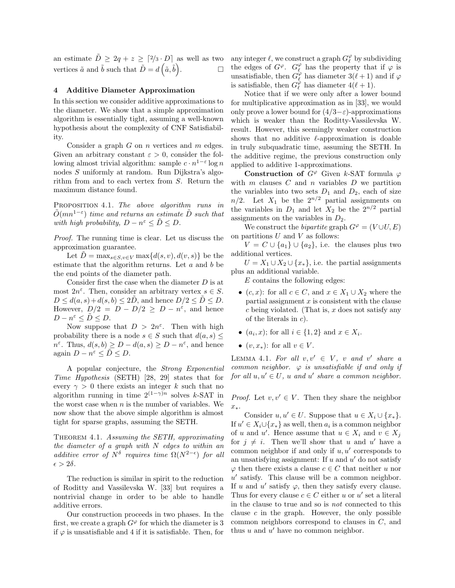an estimate  $\tilde{D} \geq 2q + z \geq \lfloor 2/3 \cdot D \rfloor$  as well as two vertices  $\tilde{a}$  and  $\tilde{b}$  such that  $\tilde{D} = d\left(\tilde{a}, \tilde{b}\right)$ . — П

# 4 Additive Diameter Approximation

In this section we consider additive approximations to the diameter. We show that a simple approximation algorithm is essentially tight, assuming a well-known hypothesis about the complexity of CNF Satisfiability.

Consider a graph  $G$  on  $n$  vertices and  $m$  edges. Given an arbitrary constant  $\varepsilon > 0$ , consider the following almost trivial algorithm: sample  $c \cdot n^{1-\varepsilon} \log n$ nodes S uniformly at random. Run Dijkstra's algorithm from and to each vertex from S. Return the maximum distance found.

PROPOSITION 4.1. The above algorithm runs in  $\tilde{O}(mn^{1-\varepsilon})$  time and returns an estimate  $\tilde{D}$  such that with high probability,  $D - n^{\varepsilon} \leq \tilde{D} \leq D$ .

Proof. The running time is clear. Let us discuss the approximation guarantee.

Let  $D = \max_{s \in S, v \in V} \max\{d(s, v), d(v, s)\}\)$  be the estimate that the algorithm returns. Let  $a$  and  $b$  be the end points of the diameter path.

Consider first the case when the diameter D is at most  $2n^{\varepsilon}$ . Then, consider an arbitrary vertex  $s \in S$ .  $D \leq d(a, s) + d(s, b) \leq 2D$ , and hence  $D/2 \leq D \leq D$ . However,  $D/2 = D - D/2 \ge D - n^{\varepsilon}$ , and hence  $D - n^{\varepsilon} \leq \tilde{D} \leq D.$ 

Now suppose that  $D > 2n^{\varepsilon}$ . Then with high probability there is a node  $s \in S$  such that  $d(a, s) \leq$  $n^{\varepsilon}$ . Thus,  $d(s, b) \ge D - d(a, s) \ge D - n^{\varepsilon}$ , and hence again  $D - n^{\varepsilon} \leq \tilde{D} \leq D$ .

A popular conjecture, the Strong Exponential Time Hypothesis (SETH) [28, 29] states that for every  $\gamma > 0$  there exists an integer k such that no algorithm running in time  $2^{(1-\gamma)n}$  solves k-SAT in the worst case when  $n$  is the number of variables. We now show that the above simple algorithm is almost tight for sparse graphs, assuming the SETH.

Theorem 4.1. Assuming the SETH, approximating the diameter of a graph with N edges to within an additive error of  $N^{\delta}$  requires time  $\Omega(N^{2-\epsilon})$  for all  $\epsilon > 2\delta$ .

The reduction is similar in spirit to the reduction of Roditty and Vassilevska W. [33] but requires a nontrivial change in order to be able to handle additive errors.

Our construction proceeds in two phases. In the first, we create a graph  $G^{\varphi}$  for which the diameter is 3 if  $\varphi$  is unsatisfiable and 4 if it is satisfiable. Then, for

any integer  $\ell$ , we construct a graph  $G_{\ell}^{\varphi}$  by subdividing the edges of  $G^{\varphi}$ .  $G_{\ell}^{\varphi}$  has the property that if  $\varphi$  is unsatisfiable, then  $G_{\ell}^{\varphi}$  has diameter  $3(\ell + 1)$  and if  $\varphi$ is satisfiable, then  $G_{\ell}^{\varphi}$  has diameter  $4(\ell + 1)$ .

Notice that if we were only after a lower bound for multiplicative approximation as in [33], we would only prove a lower bound for  $(4/3-\varepsilon)$ -approximations which is weaker than the Roditty-Vassilevska W. result. However, this seemingly weaker construction shows that no additive  $\ell$ -approximation is doable in truly subquadratic time, assuming the SETH. In the additive regime, the previous construction only applied to additive 1-approximations.

Construction of  $G^{\varphi}$  Given k-SAT formula  $\varphi$ with  $m$  clauses  $C$  and  $n$  variables  $D$  we partition the variables into two sets  $D_1$  and  $D_2$ , each of size  $n/2$ . Let  $X_1$  be the  $2^{n/2}$  partial assignments on the variables in  $D_1$  and let  $X_2$  be the  $2^{n/2}$  partial assignments on the variables in  $D_2$ .

We construct the *bipartite* graph  $G^{\varphi} = (V \cup U, E)$ on partitions  $U$  and  $V$  as follows:

 $V = C \cup \{a_1\} \cup \{a_2\}$ , i.e. the clauses plus two additional vertices.

 $U = X_1 \cup X_2 \cup \{x_*\},$  i.e. the partial assignments plus an additional variable.

 $E$  contains the following edges:

- $(c, x)$ : for all  $c \in C$ , and  $x \in X_1 \cup X_2$  where the partial assignment  $x$  is consistent with the clause  $c$  being violated. (That is,  $x$  does not satisfy any of the literals in c).
- $(a_i, x)$ ; for all  $i \in \{1, 2\}$  and  $x \in X_i$ .
- $(v, x_*)$ : for all  $v \in V$ .

LEMMA 4.1. For all  $v, v' \in V$ , v and v' share a common neighbor.  $\varphi$  is unsatisfiable if and only if for all  $u, u' \in U$ , u and u' share a common neighbor.

*Proof.* Let  $v, v' \in V$ . Then they share the neighbor x∗.

Consider  $u, u' \in U$ . Suppose that  $u \in X_i \cup \{x_*\}.$ If  $u' \in X_i \cup \{x_*\}$  as well, then  $a_i$  is a common neighbor of u and u'. Hence assume that  $u \in X_i$  and  $v \in X_j$ for  $j \neq i$ . Then we'll show that u and u' have a common neighbor if and only if  $u, u'$  corresponds to an unsatisfying assignment: If  $u$  and  $u'$  do not satisfy  $\varphi$  then there exists a clause  $c \in C$  that neither u nor  $u'$  satisfy. This clause will be a common neighbor. If u and u' satisfy  $\varphi$ , then they satisfy every clause. Thus for every clause  $c \in C$  either u or u' set a literal in the clause to true and so is not connected to this clause  $c$  in the graph. However, the only possible common neighbors correspond to clauses in C, and thus  $u$  and  $u'$  have no common neighbor.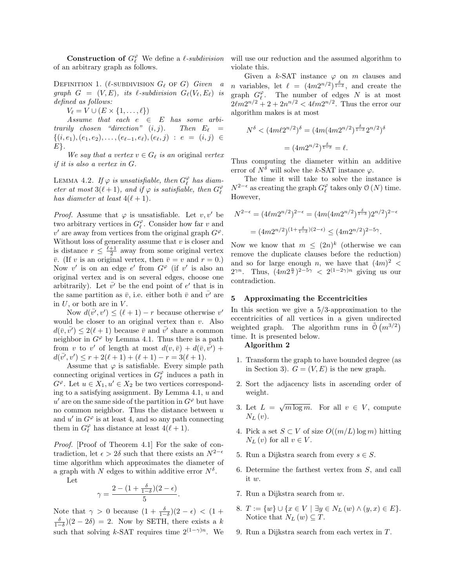**Construction of**  $G_{\ell}^{\varphi}$  We define a  $\ell$ -subdivision of an arbitrary graph as follows.

DEFINITION 1. ( $\ell$ -SUBDIVISION  $G_{\ell}$  of G) Given a graph  $G = (V, E)$ , its  $\ell$ -subdivision  $G_{\ell}(V_{\ell}, E_{\ell})$  is defined as follows:

 $V_{\ell} = V \cup (E \times \{1, \ldots, \ell\})$ 

Assume that each  $e \in E$  has some arbitrarily chosen "direction"  $(i, j)$ . Then  $E_{\ell}$  =  $\{(i, e_1), (e_1, e_2), \ldots, (e_{\ell-1}, e_{\ell}), (e_{\ell}, j) : e = (i, j) \in$  $E$ .

We say that a vertex  $v \in G_\ell$  is an original vertex if it is also a vertex in G.

LEMMA 4.2. If  $\varphi$  is unsatisfiable, then  $G_{\ell}^{\varphi}$  has diameter at most  $3(\ell + 1)$ , and if  $\varphi$  is satisfiable, then  $G_{\ell}^{\varphi}$ has diameter at least  $4(\ell + 1)$ .

*Proof.* Assume that  $\varphi$  is unsatisfiable. Let  $v, v'$  be two arbitrary vertices in  $G_{\ell}^{\varphi}$ . Consider how far v and  $v'$  are away from vertices from the original graph  $G^{\varphi}$ . Without loss of generality assume that  $v$  is closer and is distance  $r \leq \frac{\ell+1}{2}$  away from some original vertex  $\overline{v}$ . (If v is an original vertex, then  $\overline{v} = v$  and  $r = 0$ .) Now v' is on an edge  $e'$  from  $G^{\varphi}$  (if v' is also an original vertex and is on several edges, choose one arbitrarily). Let  $\bar{v'}$  be the end point of e' that is in the same partition as  $\bar{v}$ , i.e. either both  $\bar{v}$  and  $\bar{v'}$  are in  $U$ , or both are in  $V$ .

Now  $d(\overline{v'}, v') \leq (\ell+1) - r$  because otherwise v' would be closer to an original vertex than  $v$ . Also  $d(\bar{v}, \bar{v'}) \leq 2(\ell+1)$  because  $\bar{v}$  and  $v'$  share a common neighbor in  $G^{\varphi}$  by Lemma 4.1. Thus there is a path from v to v' of length at most  $d(v, \bar{v}) + d(\bar{v}, \bar{v'}) +$  $d(\bar{v'}, v') \leq r + 2(\ell + 1) + (\ell + 1) - r = 3(\ell + 1).$ 

Assume that  $\varphi$  is satisfiable. Every simple path connecting original vertices in  $G_{\ell}^{\varphi}$  induces a path in  $G^{\varphi}$ . Let  $u \in X_1, u' \in X_2$  be two vertices corresponding to a satisfying assignment. By Lemma  $4.1$ ,  $u$  and  $u'$  are on the same side of the partition in  $G^{\varphi}$  but have no common neighbor. Thus the distance between  $u$ and  $u'$  in  $G^{\varphi}$  is at least 4, and so any path connecting them in  $G_{\ell}^{\varphi}$  has distance at least  $4(\ell + 1)$ .

Proof. [Proof of Theorem 4.1] For the sake of contradiction, let  $\epsilon > 2\delta$  such that there exists an  $N^{2-\epsilon}$ time algorithm which approximates the diameter of a graph with N edges to within additive error  $N^{\delta}$ .

Let

$$
\gamma = \frac{2 - (1 + \frac{\delta}{1 - \delta})(2 - \epsilon)}{5}.
$$

Note that  $\gamma > 0$  because  $(1 + \frac{\delta}{1-\delta})(2 - \epsilon) < (1 + \frac{\delta}{1-\delta})$  $\frac{\delta}{1-\delta}(2-2\delta) = 2$ . Now by SETH, there exists a k such that solving k-SAT requires time  $2^{(1-\gamma)n}$ . We

will use our reduction and the assumed algorithm to violate this.

Given a k-SAT instance  $\varphi$  on m clauses and *n* variables, let  $\ell = (4m2^{n/2})^{\frac{\delta}{1-\delta}}$ , and create the graph  $G_{\ell}^{\varphi}$ . The number of edges N is at most  $2\ell m 2^{n/2} + 2 + 2n^{n/2} < 4\ell m 2^{n/2}$ . Thus the error our algorithm makes is at most

$$
N^{\delta} < (4m\ell 2^{n/2})^{\delta} = (4m(4m2^{n/2})^{\frac{\delta}{1-\delta}} 2^{n/2})^{\delta}
$$
\n
$$
= (4m2^{n/2})^{\frac{\delta}{1-\delta}} = \ell.
$$

Thus computing the diameter within an additive error of  $N^{\delta}$  will solve the k-SAT instance  $\varphi$ .

The time it will take to solve the instance is  $N^{2-\epsilon}$  as creating the graph  $G_{\ell}^{\varphi}$  takes only  $\varnothing$  (N) time. However,

$$
N^{2-\epsilon} = (4\ell m 2^{n/2})^{2-\epsilon} = (4m(4m2^{n/2})^{\frac{\delta}{1-\delta}})2^{n/2})^{2-\epsilon}
$$
  
= 
$$
(4m2^{n/2})^{(1+\frac{\delta}{1-\delta})(2-\epsilon)} \le (4m2^{n/2})^{2-5\gamma}.
$$

Now we know that  $m \leq (2n)^k$  (otherwise we can remove the duplicate clauses before the reduction) and so for large enough n, we have that  $(4m)^2$  <  $2^{\gamma n}$ . Thus,  $(4m2^{\frac{n}{2}})^{2-5\gamma} < 2^{(1-2\gamma)n}$  giving us our contradiction.

## 5 Approximating the Eccentricities

In this section we give a  $5/3$ -approximation to the eccentricities of all vertices in a given undirected weighted graph. The algorithm runs in  $\tilde{O}(m^{3/2})$ time. It is presented below.

### Algorithm 2

- 1. Transform the graph to have bounded degree (as in Section 3).  $G = (V, E)$  is the new graph.
- 2. Sort the adjacency lists in ascending order of weight.
- 3. Let  $L = \sqrt{m \log m}$ . For all  $v \in V$ , compute  $N_L(v)$ .
- 4. Pick a set  $S \subset V$  of size  $O((m/L) \log m)$  hitting  $N_L(v)$  for all  $v \in V$ .
- 5. Run a Dijkstra search from every  $s \in S$ .
- 6. Determine the farthest vertex from S, and call it w.
- 7. Run a Dijkstra search from w.
- 8.  $T := \{w\} \cup \{x \in V \mid \exists y \in N_L (w) \land (y, x) \in E\}.$ Notice that  $N_L(w) \subseteq T$ .
- 9. Run a Dijkstra search from each vertex in T.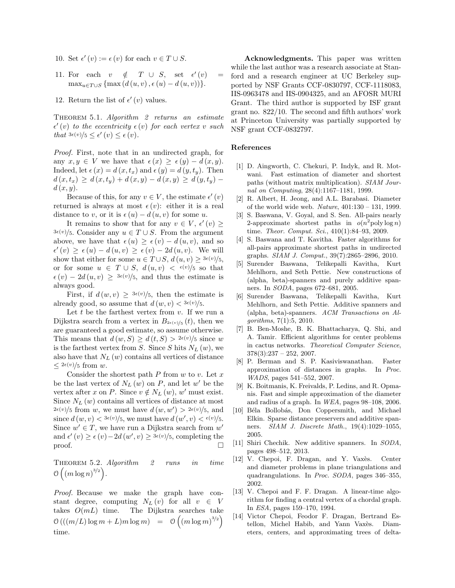- 10. Set  $\epsilon'(v) := \epsilon(v)$  for each  $v \in T \cup S$ .
- 11. For each  $v \notin T \cup S$ , set  $\epsilon'(v) =$  $\max_{u \in T \cup S} \{ \max (d(u, v), \epsilon(u) - d(u, v)) \}.$
- 12. Return the list of  $\epsilon'(v)$  values.

THEOREM 5.1. Algorithm 2 returns an estimate  $\epsilon'(v)$  to the eccentricity  $\epsilon(v)$  for each vertex v such that  $3\epsilon(v)/5 \leq \epsilon'(v) \leq \epsilon(v)$ .

Proof. First, note that in an undirected graph, for any  $x, y \in V$  we have that  $\epsilon(x) \geq \epsilon(y) - d(x, y)$ . Indeed, let  $\epsilon(x) = d(x, t_x)$  and  $\epsilon(y) = d(y, t_y)$ . Then  $d(x, t_x) \geq d(x, t_y) + d(x, y) - d(x, y) \geq d(y, t_y)$  $d(x, y)$ .

Because of this, for any  $v \in V$ , the estimate  $\epsilon'(v)$ returned is always at most  $\epsilon(v)$ : either it is a real distance to v, or it is  $\epsilon(u) - d(u, v)$  for some u.

It remains to show that for any  $v \in V$ ,  $\epsilon'(v) \geq$  $3\epsilon(v)/5$ . Consider any  $u \in T \cup S$ . From the argument above, we have that  $\epsilon(u) \geq \epsilon(v) - d(u, v)$ , and so  $\epsilon'(v) \geq \epsilon(u) - d(u, v) \geq \epsilon(v) - 2d(u, v)$ . We will show that either for some  $u \in T \cup S$ ,  $d(u, v) \geq \frac{3\epsilon(v)}{5}$ , or for some  $u \in T \cup S$ ,  $d(u, v) < \epsilon(v)/5$  so that  $\epsilon(v) - 2d(u, v) \geq \frac{3\epsilon(v)}{5}$ , and thus the estimate is always good.

First, if  $d(w, v) \geq \frac{3\epsilon(v)}{5}$ , then the estimate is already good, so assume that  $d(w, v) < 3\epsilon(v)/5$ .

Let  $t$  be the farthest vertex from  $v$ . If we run a Dijkstra search from a vertex in  $B_{2\epsilon(v)/5}(t)$ , then we are guaranteed a good estimate, so assume otherwise. This means that  $d(w, S) \geq d(t, S) > 2\epsilon(v)/5$  since w is the farthest vertex from S. Since S hits  $N_L(w)$ , we also have that  $N_L(w)$  contains all vertices of distance  $\langle 2\epsilon(v)/5$  from w.

Consider the shortest path  $P$  from  $w$  to  $v$ . Let  $x$ be the last vertex of  $N_L(w)$  on P, and let w' be the vertex after x on P. Since  $v \notin N_L(w)$ , w' must exist. Since  $N_L(w)$  contains all vertices of distance at most  $2\epsilon(v)/5$  from w, we must have  $d(w, w') > 2\epsilon(v)/5$ , and since  $d(w, v) < 3\epsilon(v)/5$ , we must have  $d(w', v) < \epsilon(v)/5$ . Since  $w' \in T$ , we have run a Dijkstra search from  $w'$ and  $\epsilon'(v) \geq \epsilon(v) - 2d(w', v) \geq \frac{3\epsilon(v)}{5}$ , completing the  $\Box$ 

THEOREM 5.2. Algorithm 2 runs in time  $\mathfrak{O}\left(\left(m\log n\right)^{3/2}\right).$ 

Proof. Because we make the graph have constant degree, computing  $N_L(v)$  for all  $v \in V$ takes  $O(mL)$  time. The Dijkstra searches take  $\mathcal{O}\left(\left(\left(m/L\right)\log m + L\right)m\log m\right) = \mathcal{O}\left(\left(m\log m\right)^{3/2}\right)$ time.

Acknowledgments. This paper was written while the last author was a research associate at Stanford and a research engineer at UC Berkeley supported by NSF Grants CCF-0830797, CCF-1118083, IIS-0963478 and IIS-0904325, and an AFOSR MURI Grant. The third author is supported by ISF grant grant no. 822/10. The second and fifth authors' work at Princeton University was partially supported by NSF grant CCF-0832797.

# References

- [1] D. Aingworth, C. Chekuri, P. Indyk, and R. Motwani. Fast estimation of diameter and shortest paths (without matrix multiplication). SIAM Journal on Computing, 28(4):1167–1181, 1999.
- [2] R. Albert, H. Jeong, and A.L. Barabasi. Diameter of the world wide web. Nature, 401:130 – 131, 1999.
- [3] S. Baswana, V. Goyal, and S. Sen. All-pairs nearly 2-approximate shortest paths in  $o(n^2)$ poly log n) time. Theor. Comput. Sci., 410(1):84–93, 2009.
- [4] S. Baswana and T. Kavitha. Faster algorithms for all-pairs approximate shortest paths in undirected graphs. SIAM J. Comput., 39(7):2865–2896, 2010.
- [5] Surender Baswana, Telikepalli Kavitha, Kurt Mehlhorn, and Seth Pettie. New constructions of (alpha, beta)-spanners and purely additive spanners. In SODA, pages 672–681, 2005.
- [6] Surender Baswana, Telikepalli Kavitha, Kurt Mehlhorn, and Seth Pettie. Additive spanners and (alpha, beta)-spanners. ACM Transactions on Algorithms, 7(1):5, 2010.
- [7] B. Ben-Moshe, B. K. Bhattacharya, Q. Shi, and A. Tamir. Efficient algorithms for center problems in cactus networks. Theoretical Computer Science,  $378(3):237 - 252, 2007.$
- [8] P. Berman and S. P. Kasiviswanathan. Faster approximation of distances in graphs. In Proc. WADS, pages 541–552, 2007.
- [9] K. Boitmanis, K. Freivalds, P. Ledins, and R. Opmanis. Fast and simple approximation of the diameter and radius of a graph. In WEA, pages 98–108, 2006.
- [10] Béla Bollobás, Don Coppersmith, and Michael Elkin. Sparse distance preservers and additive spanners. SIAM J. Discrete Math., 19(4):1029–1055, 2005.
- [11] Shiri Chechik. New additive spanners. In SODA, pages 498–512, 2013.
- [12] V. Chepoi, F. Dragan, and Y. Vaxès. Center and diameter problems in plane triangulations and quadrangulations. In Proc. SODA, pages 346–355, 2002.
- [13] V. Chepoi and F. F. Dragan. A linear-time algorithm for finding a central vertex of a chordal graph. In ESA, pages 159–170, 1994.
- [14] Victor Chepoi, Feodor F. Dragan, Bertrand Estellon, Michel Habib, and Yann Vaxès. Diameters, centers, and approximating trees of delta-